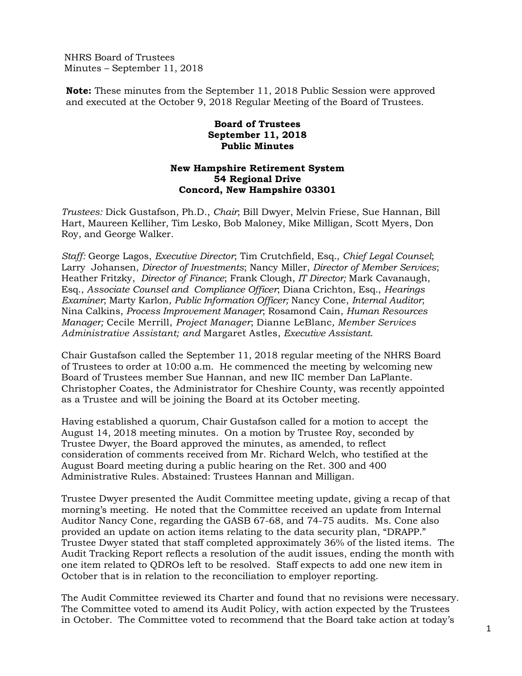NHRS Board of Trustees Minutes – September 11, 2018

**Note:** These minutes from the September 11, 2018 Public Session were approved and executed at the October 9, 2018 Regular Meeting of the Board of Trustees.

## **Board of Trustees September 11, 2018 Public Minutes**

## **New Hampshire Retirement System 54 Regional Drive Concord, New Hampshire 03301**

*Trustees:* Dick Gustafson, Ph.D., *Chair*; Bill Dwyer, Melvin Friese, Sue Hannan, Bill Hart, Maureen Kelliher, Tim Lesko, Bob Maloney, Mike Milligan, Scott Myers, Don Roy, and George Walker.

*Staff:* George Lagos, *Executive Director*; Tim Crutchfield, Esq., *Chief Legal Counsel*; Larry Johansen, *Director of Investments*; Nancy Miller, *Director of Member Services*; Heather Fritzky, *Director of Finance*; Frank Clough, *IT Director;* Mark Cavanaugh, Esq., *Associate Counsel and Compliance Officer*; Diana Crichton, Esq., *Hearings Examiner*; Marty Karlon, *Public Information Officer;* Nancy Cone, *Internal Auditor*; Nina Calkins, *Process Improvement Manager*; Rosamond Cain, *Human Resources Manager;* Cecile Merrill, *Project Manager*; Dianne LeBlanc*, Member Services Administrative Assistant; and* Margaret Astles, *Executive Assistant*.

Chair Gustafson called the September 11, 2018 regular meeting of the NHRS Board of Trustees to order at 10:00 a.m. He commenced the meeting by welcoming new Board of Trustees member Sue Hannan, and new IIC member Dan LaPlante. Christopher Coates, the Administrator for Cheshire County, was recently appointed as a Trustee and will be joining the Board at its October meeting.

Having established a quorum, Chair Gustafson called for a motion to accept the August 14, 2018 meeting minutes. On a motion by Trustee Roy, seconded by Trustee Dwyer, the Board approved the minutes, as amended, to reflect consideration of comments received from Mr. Richard Welch, who testified at the August Board meeting during a public hearing on the Ret. 300 and 400 Administrative Rules. Abstained: Trustees Hannan and Milligan.

Trustee Dwyer presented the Audit Committee meeting update, giving a recap of that morning's meeting. He noted that the Committee received an update from Internal Auditor Nancy Cone, regarding the GASB 67-68, and 74-75 audits. Ms. Cone also provided an update on action items relating to the data security plan, "DRAPP." Trustee Dwyer stated that staff completed approximately 36% of the listed items. The Audit Tracking Report reflects a resolution of the audit issues, ending the month with one item related to QDROs left to be resolved. Staff expects to add one new item in October that is in relation to the reconciliation to employer reporting.

The Audit Committee reviewed its Charter and found that no revisions were necessary. The Committee voted to amend its Audit Policy, with action expected by the Trustees in October. The Committee voted to recommend that the Board take action at today's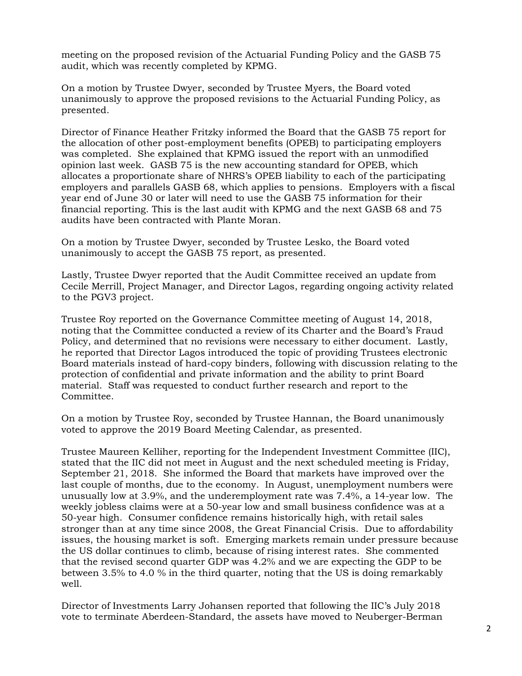meeting on the proposed revision of the Actuarial Funding Policy and the GASB 75 audit, which was recently completed by KPMG.

On a motion by Trustee Dwyer, seconded by Trustee Myers, the Board voted unanimously to approve the proposed revisions to the Actuarial Funding Policy, as presented.

Director of Finance Heather Fritzky informed the Board that the GASB 75 report for the allocation of other post-employment benefits (OPEB) to participating employers was completed. She explained that KPMG issued the report with an unmodified opinion last week. GASB 75 is the new accounting standard for OPEB, which allocates a proportionate share of NHRS's OPEB liability to each of the participating employers and parallels GASB 68, which applies to pensions. Employers with a fiscal year end of June 30 or later will need to use the GASB 75 information for their financial reporting. This is the last audit with KPMG and the next GASB 68 and 75 audits have been contracted with Plante Moran.

On a motion by Trustee Dwyer, seconded by Trustee Lesko, the Board voted unanimously to accept the GASB 75 report, as presented.

Lastly, Trustee Dwyer reported that the Audit Committee received an update from Cecile Merrill, Project Manager, and Director Lagos, regarding ongoing activity related to the PGV3 project.

Trustee Roy reported on the Governance Committee meeting of August 14, 2018, noting that the Committee conducted a review of its Charter and the Board's Fraud Policy, and determined that no revisions were necessary to either document. Lastly, he reported that Director Lagos introduced the topic of providing Trustees electronic Board materials instead of hard-copy binders, following with discussion relating to the protection of confidential and private information and the ability to print Board material. Staff was requested to conduct further research and report to the Committee.

On a motion by Trustee Roy, seconded by Trustee Hannan, the Board unanimously voted to approve the 2019 Board Meeting Calendar, as presented.

Trustee Maureen Kelliher, reporting for the Independent Investment Committee (IIC), stated that the IIC did not meet in August and the next scheduled meeting is Friday, September 21, 2018. She informed the Board that markets have improved over the last couple of months, due to the economy. In August, unemployment numbers were unusually low at 3.9%, and the underemployment rate was 7.4%, a 14-year low. The weekly jobless claims were at a 50-year low and small business confidence was at a 50-year high. Consumer confidence remains historically high, with retail sales stronger than at any time since 2008, the Great Financial Crisis. Due to affordability issues, the housing market is soft. Emerging markets remain under pressure because the US dollar continues to climb, because of rising interest rates. She commented that the revised second quarter GDP was 4.2% and we are expecting the GDP to be between 3.5% to 4.0 % in the third quarter, noting that the US is doing remarkably well.

Director of Investments Larry Johansen reported that following the IIC's July 2018 vote to terminate Aberdeen-Standard, the assets have moved to Neuberger-Berman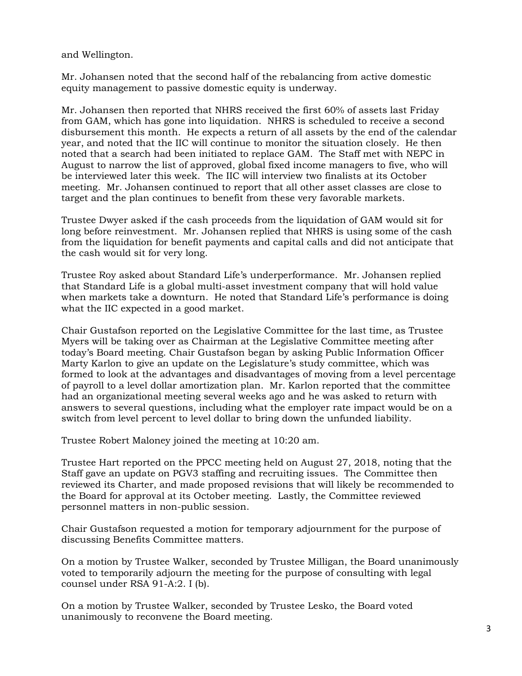and Wellington.

Mr. Johansen noted that the second half of the rebalancing from active domestic equity management to passive domestic equity is underway.

Mr. Johansen then reported that NHRS received the first 60% of assets last Friday from GAM, which has gone into liquidation. NHRS is scheduled to receive a second disbursement this month. He expects a return of all assets by the end of the calendar year, and noted that the IIC will continue to monitor the situation closely. He then noted that a search had been initiated to replace GAM. The Staff met with NEPC in August to narrow the list of approved, global fixed income managers to five, who will be interviewed later this week. The IIC will interview two finalists at its October meeting. Mr. Johansen continued to report that all other asset classes are close to target and the plan continues to benefit from these very favorable markets.

Trustee Dwyer asked if the cash proceeds from the liquidation of GAM would sit for long before reinvestment. Mr. Johansen replied that NHRS is using some of the cash from the liquidation for benefit payments and capital calls and did not anticipate that the cash would sit for very long.

Trustee Roy asked about Standard Life's underperformance. Mr. Johansen replied that Standard Life is a global multi-asset investment company that will hold value when markets take a downturn. He noted that Standard Life's performance is doing what the IIC expected in a good market.

Chair Gustafson reported on the Legislative Committee for the last time, as Trustee Myers will be taking over as Chairman at the Legislative Committee meeting after today's Board meeting. Chair Gustafson began by asking Public Information Officer Marty Karlon to give an update on the Legislature's study committee, which was formed to look at the advantages and disadvantages of moving from a level percentage of payroll to a level dollar amortization plan. Mr. Karlon reported that the committee had an organizational meeting several weeks ago and he was asked to return with answers to several questions, including what the employer rate impact would be on a switch from level percent to level dollar to bring down the unfunded liability.

Trustee Robert Maloney joined the meeting at 10:20 am.

Trustee Hart reported on the PPCC meeting held on August 27, 2018, noting that the Staff gave an update on PGV3 staffing and recruiting issues. The Committee then reviewed its Charter, and made proposed revisions that will likely be recommended to the Board for approval at its October meeting. Lastly, the Committee reviewed personnel matters in non-public session.

Chair Gustafson requested a motion for temporary adjournment for the purpose of discussing Benefits Committee matters.

On a motion by Trustee Walker, seconded by Trustee Milligan, the Board unanimously voted to temporarily adjourn the meeting for the purpose of consulting with legal counsel under RSA 91-A:2. I (b).

On a motion by Trustee Walker, seconded by Trustee Lesko, the Board voted unanimously to reconvene the Board meeting.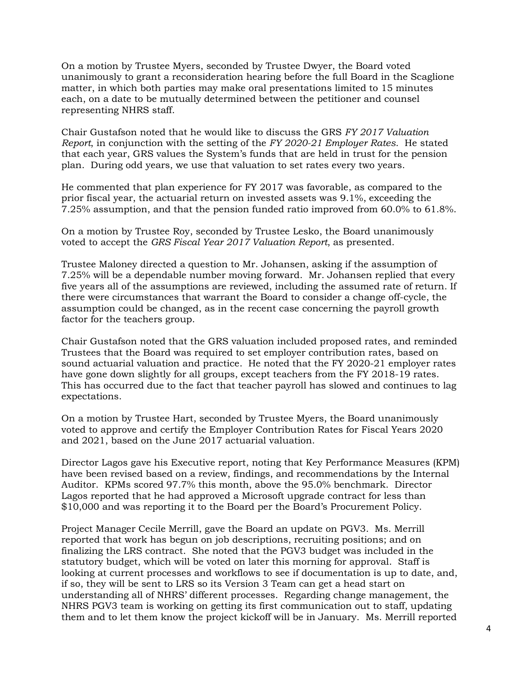On a motion by Trustee Myers, seconded by Trustee Dwyer, the Board voted unanimously to grant a reconsideration hearing before the full Board in the Scaglione matter, in which both parties may make oral presentations limited to 15 minutes each, on a date to be mutually determined between the petitioner and counsel representing NHRS staff.

Chair Gustafson noted that he would like to discuss the GRS *FY 2017 Valuation Report*, in conjunction with the setting of the *FY 2020-21 Employer Rates*. He stated that each year, GRS values the System's funds that are held in trust for the pension plan. During odd years, we use that valuation to set rates every two years.

He commented that plan experience for FY 2017 was favorable, as compared to the prior fiscal year, the actuarial return on invested assets was 9.1%, exceeding the 7.25% assumption, and that the pension funded ratio improved from 60.0% to 61.8%.

On a motion by Trustee Roy, seconded by Trustee Lesko, the Board unanimously voted to accept the *GRS Fiscal Year 2017 Valuation Report*, as presented.

Trustee Maloney directed a question to Mr. Johansen, asking if the assumption of 7.25% will be a dependable number moving forward. Mr. Johansen replied that every five years all of the assumptions are reviewed, including the assumed rate of return. If there were circumstances that warrant the Board to consider a change off-cycle, the assumption could be changed, as in the recent case concerning the payroll growth factor for the teachers group.

Chair Gustafson noted that the GRS valuation included proposed rates, and reminded Trustees that the Board was required to set employer contribution rates, based on sound actuarial valuation and practice. He noted that the FY 2020-21 employer rates have gone down slightly for all groups, except teachers from the FY 2018-19 rates. This has occurred due to the fact that teacher payroll has slowed and continues to lag expectations.

On a motion by Trustee Hart, seconded by Trustee Myers, the Board unanimously voted to approve and certify the Employer Contribution Rates for Fiscal Years 2020 and 2021, based on the June 2017 actuarial valuation.

Director Lagos gave his Executive report, noting that Key Performance Measures (KPM) have been revised based on a review, findings, and recommendations by the Internal Auditor. KPMs scored 97.7% this month, above the 95.0% benchmark. Director Lagos reported that he had approved a Microsoft upgrade contract for less than \$10,000 and was reporting it to the Board per the Board's Procurement Policy.

Project Manager Cecile Merrill, gave the Board an update on PGV3. Ms. Merrill reported that work has begun on job descriptions, recruiting positions; and on finalizing the LRS contract. She noted that the PGV3 budget was included in the statutory budget, which will be voted on later this morning for approval. Staff is looking at current processes and workflows to see if documentation is up to date, and, if so, they will be sent to LRS so its Version 3 Team can get a head start on understanding all of NHRS' different processes. Regarding change management, the NHRS PGV3 team is working on getting its first communication out to staff, updating them and to let them know the project kickoff will be in January. Ms. Merrill reported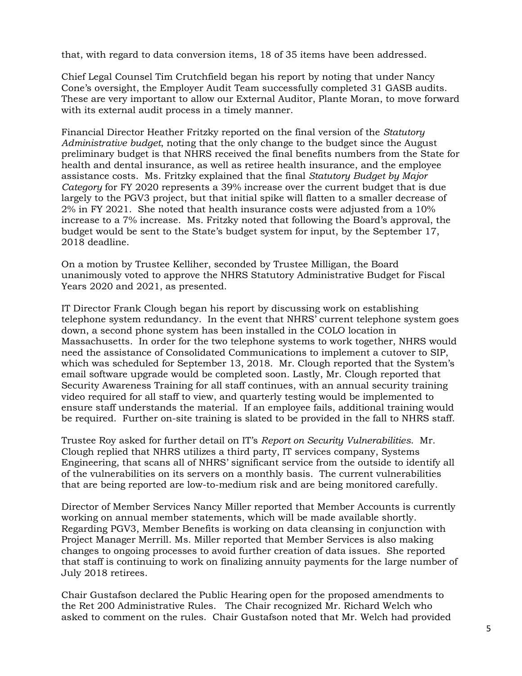that, with regard to data conversion items, 18 of 35 items have been addressed.

Chief Legal Counsel Tim Crutchfield began his report by noting that under Nancy Cone's oversight, the Employer Audit Team successfully completed 31 GASB audits. These are very important to allow our External Auditor, Plante Moran, to move forward with its external audit process in a timely manner.

Financial Director Heather Fritzky reported on the final version of the *Statutory Administrative budget*, noting that the only change to the budget since the August preliminary budget is that NHRS received the final benefits numbers from the State for health and dental insurance, as well as retiree health insurance, and the employee assistance costs. Ms. Fritzky explained that the final *Statutory Budget by Major Category* for FY 2020 represents a 39% increase over the current budget that is due largely to the PGV3 project, but that initial spike will flatten to a smaller decrease of 2% in FY 2021. She noted that health insurance costs were adjusted from a 10% increase to a 7% increase. Ms. Fritzky noted that following the Board's approval, the budget would be sent to the State's budget system for input, by the September 17, 2018 deadline.

On a motion by Trustee Kelliher, seconded by Trustee Milligan, the Board unanimously voted to approve the NHRS Statutory Administrative Budget for Fiscal Years 2020 and 2021, as presented.

IT Director Frank Clough began his report by discussing work on establishing telephone system redundancy. In the event that NHRS' current telephone system goes down, a second phone system has been installed in the COLO location in Massachusetts. In order for the two telephone systems to work together, NHRS would need the assistance of Consolidated Communications to implement a cutover to SIP, which was scheduled for September 13, 2018. Mr. Clough reported that the System's email software upgrade would be completed soon. Lastly, Mr. Clough reported that Security Awareness Training for all staff continues, with an annual security training video required for all staff to view, and quarterly testing would be implemented to ensure staff understands the material. If an employee fails, additional training would be required. Further on-site training is slated to be provided in the fall to NHRS staff.

Trustee Roy asked for further detail on IT's *Report on Security Vulnerabilities*. Mr. Clough replied that NHRS utilizes a third party, IT services company, Systems Engineering, that scans all of NHRS' significant service from the outside to identify all of the vulnerabilities on its servers on a monthly basis. The current vulnerabilities that are being reported are low-to-medium risk and are being monitored carefully.

Director of Member Services Nancy Miller reported that Member Accounts is currently working on annual member statements, which will be made available shortly. Regarding PGV3, Member Benefits is working on data cleansing in conjunction with Project Manager Merrill. Ms. Miller reported that Member Services is also making changes to ongoing processes to avoid further creation of data issues. She reported that staff is continuing to work on finalizing annuity payments for the large number of July 2018 retirees.

Chair Gustafson declared the Public Hearing open for the proposed amendments to the Ret 200 Administrative Rules. The Chair recognized Mr. Richard Welch who asked to comment on the rules. Chair Gustafson noted that Mr. Welch had provided